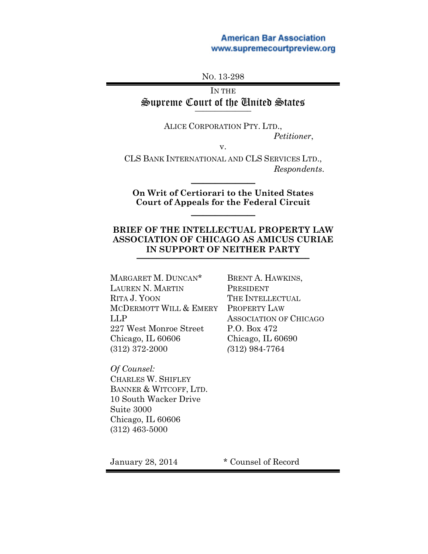## **American Bar Association** www.supremecourtpreview.org

NO. 13-298

## IN THE Supreme Court of the United States **\_\_\_\_\_\_\_\_\_\_\_\_\_\_**

ALICE CORPORATION PTY. LTD., *Petitioner*,

v.

CLS BANK INTERNATIONAL AND CLS SERVICES LTD., *Respondents*.

## **On Writ of Certiorari to the United States Court of Appeals for the Federal Circuit**

 $\frac{1}{2}$ 

 $\frac{1}{2}$ 

## **BRIEF OF THE INTELLECTUAL PROPERTY LAW ASSOCIATION OF CHICAGO AS AMICUS CURIAE** IN SUPPORT OF NEITHER PARTY

MARGARET M. DUNCAN\* LAUREN N. MARTIN RITA J. YOON MCDERMOTT WILL & EMERY LLP 227 West Monroe Street Chicago, IL 60606 (312) 372-2000

*Of Counsel:* CHARLES W. SHIFLEY BANNER & WITCOFF, LTD. 10 South Wacker Drive Suite 3000 Chicago, IL 60606 (312) 463-5000

BRENT A. HAWKINS, PRESIDENT THE INTELLECTUAL PROPERTY LAW ASSOCIATION OF CHICAGO P.O. Box 472 Chicago, IL 60690 *(*312) 984-7764

January 28, 2014 \* Counsel of Record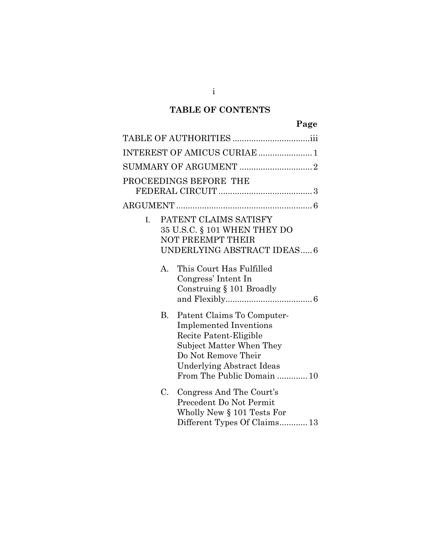# **TABLE OF CONTENTS**

| INTEREST OF AMICUS CURIAE  1                                                                                                                                                                              |  |  |  |  |  |
|-----------------------------------------------------------------------------------------------------------------------------------------------------------------------------------------------------------|--|--|--|--|--|
|                                                                                                                                                                                                           |  |  |  |  |  |
| PROCEEDINGS BEFORE THE                                                                                                                                                                                    |  |  |  |  |  |
|                                                                                                                                                                                                           |  |  |  |  |  |
| PATENT CLAIMS SATISFY<br>L.<br>35 U.S.C. § 101 WHEN THEY DO<br><b>NOT PREEMPT THEIR</b><br>UNDERLYING ABSTRACT IDEAS 6                                                                                    |  |  |  |  |  |
| This Court Has Fulfilled<br>A.<br>Congress' Intent In<br>Construing $§$ 101 Broadly                                                                                                                       |  |  |  |  |  |
| В.<br>Patent Claims To Computer-<br><b>Implemented Inventions</b><br>Recite Patent-Eligible<br>Subject Matter When They<br>Do Not Remove Their<br>Underlying Abstract Ideas<br>From The Public Domain  10 |  |  |  |  |  |
| C. Congress And The Court's<br>Precedent Do Not Permit<br>Wholly New $\S 101$ Tests For<br>Different Types Of Claims 13                                                                                   |  |  |  |  |  |

i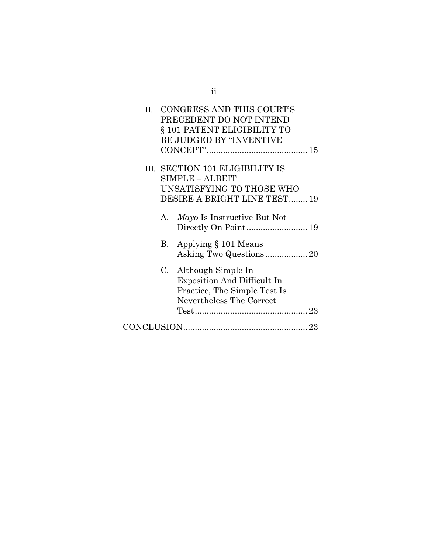| II. |    | CONGRESS AND THIS COURT'S<br>PRECEDENT DO NOT INTEND<br>§ 101 PATENT ELIGIBILITY TO<br><b>BE JUDGED BY "INVENTIVE</b> |
|-----|----|-----------------------------------------------------------------------------------------------------------------------|
|     |    | III. SECTION 101 ELIGIBILITY IS<br>SIMPLE - ALBEIT<br>UNSATISFYING TO THOSE WHO<br>DESIRE A BRIGHT LINE TEST19        |
|     | A. | <i>Mayo</i> Is Instructive But Not<br>Directly On Point 19                                                            |
|     | В. | Applying § 101 Means<br>Asking Two Questions20                                                                        |
|     | C. | Although Simple In<br><b>Exposition And Difficult In</b><br>Practice, The Simple Test Is<br>Nevertheless The Correct  |
|     |    |                                                                                                                       |

ii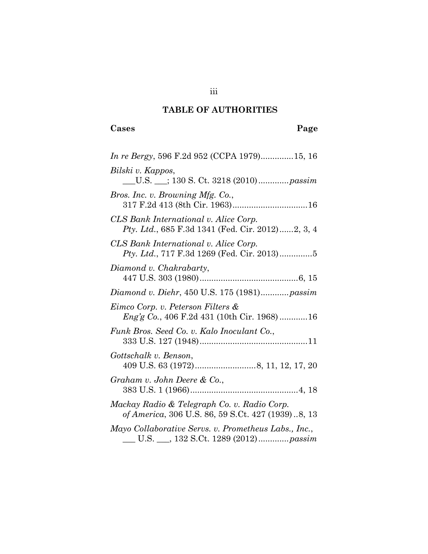# **TABLE OF AUTHORITIES**

# <span id="page-3-0"></span>**Cases Page**

| <i>In re Bergy</i> , 596 F.2d 952 (CCPA 1979)15, 16                                                   |
|-------------------------------------------------------------------------------------------------------|
| Bilski v. Kappos,<br>U.S. __; 130 S. Ct. 3218 (2010) <i>passim</i>                                    |
| Bros. Inc. v. Browning Mfg. Co.,                                                                      |
| CLS Bank International v. Alice Corp.<br>Pty. Ltd., 685 F.3d 1341 (Fed. Cir. 2012)2, 3, 4             |
| CLS Bank International v. Alice Corp.<br>Pty. Ltd., 717 F.3d 1269 (Fed. Cir. 2013)5                   |
| Diamond v. Chakrabarty,                                                                               |
| Diamond v. Diehr, 450 U.S. 175 (1981) passim                                                          |
| Eimco Corp. v. Peterson Filters &<br>Eng'g Co., 406 F.2d 431 (10th Cir. 1968)16                       |
| Funk Bros. Seed Co. v. Kalo Inoculant Co.,                                                            |
| Gottschalk v. Benson,                                                                                 |
| Graham v. John Deere & Co.,                                                                           |
| Mackay Radio & Telegraph Co. v. Radio Corp.<br>of America, 306 U.S. 86, 59 S.Ct. 427 (1939)8, 13      |
| Mayo Collaborative Servs. v. Prometheus Labs., Inc.,<br>U.S. ___, 132 S.Ct. 1289 (2012) <i>passim</i> |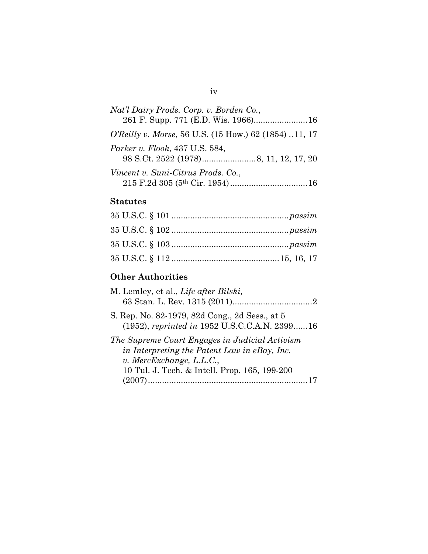| Nat'l Dairy Prods. Corp. v. Borden Co.,                       |  |
|---------------------------------------------------------------|--|
|                                                               |  |
| <i>O'Reilly v. Morse</i> , 56 U.S. (15 How.) 62 (1854) 11, 17 |  |
| <i>Parker v. Flook, 437 U.S. 584,</i>                         |  |
| Vincent v. Suni-Citrus Prods. Co.,                            |  |
|                                                               |  |

## **Statutes**

# **Other Authorities**

| M. Lemley, et al., Life after Bilski,                                                                                                                                         |
|-------------------------------------------------------------------------------------------------------------------------------------------------------------------------------|
| S. Rep. No. 82-1979, 82d Cong., 2d Sess., at 5<br>(1952), reprinted in 1952 U.S.C.C.A.N. 239916                                                                               |
| The Supreme Court Engages in Judicial Activism<br>in Interpreting the Patent Law in eBay, Inc.<br>$v.$ MercExchange, L.L.C.,<br>10 Tul. J. Tech. & Intell. Prop. 165, 199-200 |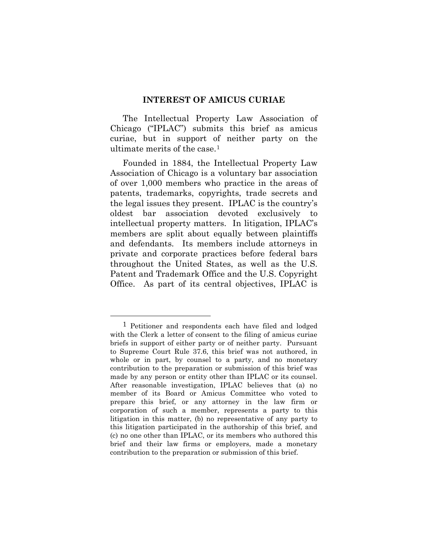#### **INTEREST OF AMICUS CURIAE**

<span id="page-5-0"></span>The Intellectual Property Law Association of Chicago ("IPLAC") submits this brief as amicus curiae, but in support of neither party on the ultimate merits of the case.[1](#page-5-1)

Founded in 1884, the Intellectual Property Law Association of Chicago is a voluntary bar association of over 1,000 members who practice in the areas of patents, trademarks, copyrights, trade secrets and the legal issues they present. IPLAC is the country's oldest bar association devoted exclusively to intellectual property matters. In litigation, IPLAC's members are split about equally between plaintiffs and defendants. Its members include attorneys in private and corporate practices before federal bars throughout the United States, as well as the U.S. Patent and Trademark Office and the U.S. Copyright Office. As part of its central objectives, IPLAC is

 $\overline{a}$ 

<span id="page-5-1"></span><sup>1</sup> Petitioner and respondents each have filed and lodged with the Clerk a letter of consent to the filing of amicus curiae briefs in support of either party or of neither party. Pursuant to Supreme Court Rule 37.6, this brief was not authored, in whole or in part, by counsel to a party, and no monetary contribution to the preparation or submission of this brief was made by any person or entity other than IPLAC or its counsel. After reasonable investigation, IPLAC believes that (a) no member of its Board or Amicus Committee who voted to prepare this brief, or any attorney in the law firm or corporation of such a member, represents a party to this litigation in this matter, (b) no representative of any party to this litigation participated in the authorship of this brief, and (c) no one other than IPLAC, or its members who authored this brief and their law firms or employers, made a monetary contribution to the preparation or submission of this brief.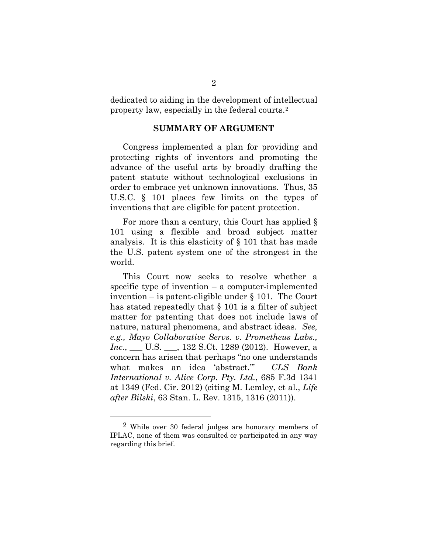<span id="page-6-0"></span>dedicated to aiding in the development of intellectual property law, especially in the federal courts.[2](#page-6-1)

#### **SUMMARY OF ARGUMENT**

Congress implemented a plan for providing and protecting rights of inventors and promoting the advance of the useful arts by broadly drafting the patent statute without technological exclusions in order to embrace yet unknown innovations. Thus, 35 U.S.C. § 101 places few limits on the types of inventions that are eligible for patent protection.

For more than a century, this Court has applied § 101 using a flexible and broad subject matter analysis. It is this elasticity of § 101 that has made the U.S. patent system one of the strongest in the world.

This Court now seeks to resolve whether a specific type of invention – a computer-implemented invention – is patent-eligible under § 101. The Court has stated repeatedly that § 101 is a filter of subject matter for patenting that does not include laws of nature, natural phenomena, and abstract ideas. *See, e.g., Mayo Collaborative Servs. v. Prometheus Labs., Inc.*, \_\_\_ U.S. \_\_\_, 132 S.Ct. 1289 (2012). However, a concern has arisen that perhaps "no one understands what makes an idea 'abstract.'" *CLS Bank International v. Alice Corp. Pty. Ltd.*, 685 F.3d 1341 at 1349 (Fed. Cir. 2012) (citing M. Lemley, et al., *Life after Bilski*, 63 Stan. L. Rev. 1315, 1316 (2011)).

l

<span id="page-6-1"></span><sup>&</sup>lt;sup>2</sup> While over 30 federal judges are honorary members of IPLAC, none of them was consulted or participated in any way regarding this brief.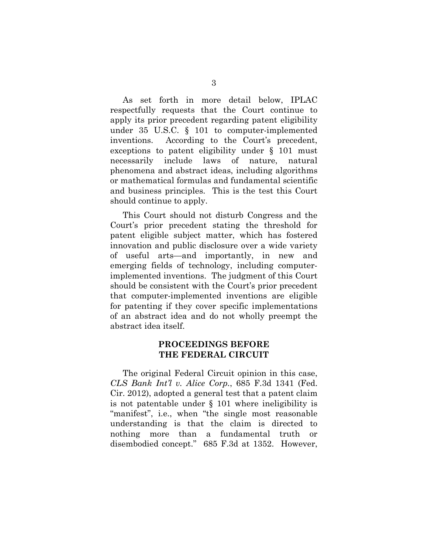As set forth in more detail below, IPLAC respectfully requests that the Court continue to apply its prior precedent regarding patent eligibility under 35 U.S.C. § 101 to computer-implemented inventions. According to the Court's precedent, exceptions to patent eligibility under § 101 must necessarily include laws of nature, natural phenomena and abstract ideas, including algorithms or mathematical formulas and fundamental scientific and business principles. This is the test this Court should continue to apply.

This Court should not disturb Congress and the Court's prior precedent stating the threshold for patent eligible subject matter, which has fostered innovation and public disclosure over a wide variety of useful arts—and importantly, in new and emerging fields of technology, including computerimplemented inventions. The judgment of this Court should be consistent with the Court's prior precedent that computer-implemented inventions are eligible for patenting if they cover specific implementations of an abstract idea and do not wholly preempt the abstract idea itself.

## **PROCEEDINGS BEFORE THE FEDERAL CIRCUIT**

<span id="page-7-0"></span>The original Federal Circuit opinion in this case, *CLS Bank Int'l v. Alice Corp.*, 685 F.3d 1341 (Fed. Cir. 2012), adopted a general test that a patent claim is not patentable under § 101 where ineligibility is "manifest", i.e., when "the single most reasonable understanding is that the claim is directed to nothing more than a fundamental truth or disembodied concept." 685 F.3d at 1352. However,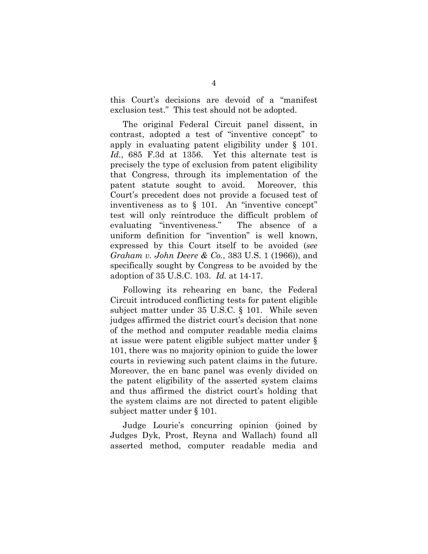this Court's decisions are devoid of a "manifest exclusion test." This test should not be adopted.

The original Federal Circuit panel dissent, in contrast, adopted a test of "inventive concept" to apply in evaluating patent eligibility under § 101. *Id.*, 685 F.3d at 1356. Yet this alternate test is precisely the type of exclusion from patent eligibility that Congress, through its implementation of the patent statute sought to avoid. Moreover, this Court's precedent does not provide a focused test of inventiveness as to  $\S$  101. An "inventive concept" test will only reintroduce the difficult problem of evaluating "inventiveness." The absence of a uniform definition for "invention" is well known, expressed by this Court itself to be avoided (*see Graham v. John Deere & Co.*, 383 U.S. 1 (1966)), and specifically sought by Congress to be avoided by the adoption of 35 U.S.C. 103. *Id.* at 14-17.

Following its rehearing en banc, the Federal Circuit introduced conflicting tests for patent eligible subject matter under 35 U.S.C. § 101. While seven judges affirmed the district court's decision that none of the method and computer readable media claims at issue were patent eligible subject matter under § 101, there was no majority opinion to guide the lower courts in reviewing such patent claims in the future. Moreover, the en banc panel was evenly divided on the patent eligibility of the asserted system claims and thus affirmed the district court's holding that the system claims are not directed to patent eligible subject matter under § 101.

Judge Lourie's concurring opinion (joined by Judges Dyk, Prost, Reyna and Wallach) found all asserted method, computer readable media and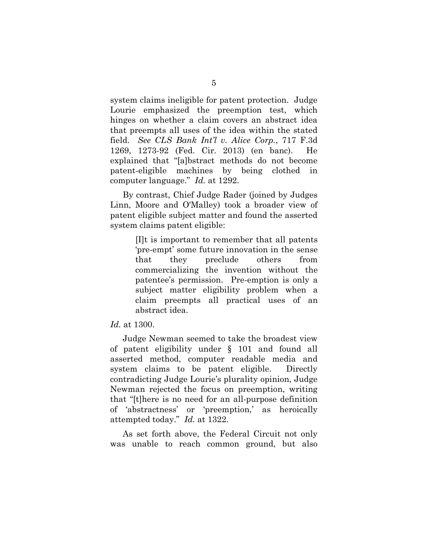system claims ineligible for patent protection. Judge Lourie emphasized the preemption test, which hinges on whether a claim covers an abstract idea that preempts all uses of the idea within the stated field. *See CLS Bank Int'l v. Alice Corp.*, 717 F.3d 1269, 1273-92 (Fed. Cir. 2013) (en banc). He explained that "[a]bstract methods do not become patent-eligible machines by being clothed in computer language." *Id.* at 1292.

By contrast, Chief Judge Rader (joined by Judges Linn, Moore and O'Malley) took a broader view of patent eligible subject matter and found the asserted system claims patent eligible:

> [I]t is important to remember that all patents 'pre-empt' some future innovation in the sense that they preclude others from commercializing the invention without the patentee's permission. Pre-emption is only a subject matter eligibility problem when a claim preempts all practical uses of an abstract idea.

*Id.* at 1300.

Judge Newman seemed to take the broadest view of patent eligibility under § 101 and found all asserted method, computer readable media and system claims to be patent eligible. Directly contradicting Judge Lourie's plurality opinion, Judge Newman rejected the focus on preemption, writing that "[t]here is no need for an all-purpose definition of 'abstractness' or 'preemption,' as heroically attempted today." *Id.* at 1322.

As set forth above, the Federal Circuit not only was unable to reach common ground, but also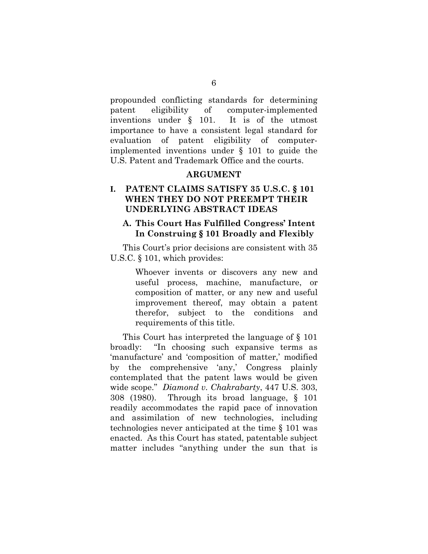propounded conflicting standards for determining patent eligibility of computer-implemented inventions under § 101. It is of the utmost importance to have a consistent legal standard for evaluation of patent eligibility of computerimplemented inventions under § 101 to guide the U.S. Patent and Trademark Office and the courts.

### **ARGUMENT**

## <span id="page-10-1"></span><span id="page-10-0"></span>**I. PATENT CLAIMS SATISFY 35 U.S.C. § 101 WHEN THEY DO NOT PREEMPT THEIR UNDERLYING ABSTRACT IDEAS**

### <span id="page-10-2"></span>**A. This Court Has Fulfilled Congress' Intent In Construing § 101 Broadly and Flexibly**

This Court's prior decisions are consistent with 35 U.S.C. § 101, which provides:

> Whoever invents or discovers any new and useful process, machine, manufacture, or composition of matter, or any new and useful improvement thereof, may obtain a patent therefor, subject to the conditions and requirements of this title.

This Court has interpreted the language of § 101 broadly: "In choosing such expansive terms as 'manufacture' and 'composition of matter,' modified by the comprehensive 'any,' Congress plainly contemplated that the patent laws would be given wide scope." *Diamond v. Chakrabarty*, 447 U.S. 303, 308 (1980). Through its broad language, § 101 readily accommodates the rapid pace of innovation and assimilation of new technologies, including technologies never anticipated at the time § 101 was enacted. As this Court has stated, patentable subject matter includes "anything under the sun that is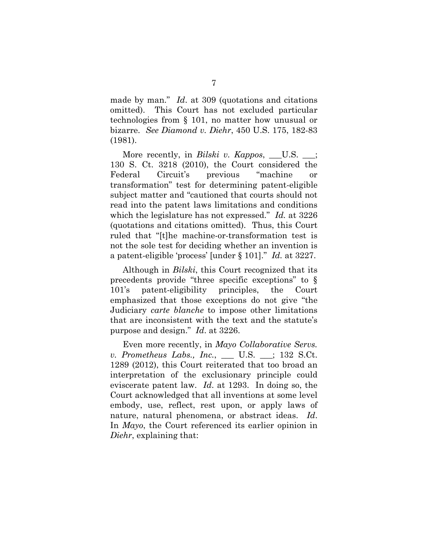made by man." *Id*. at 309 (quotations and citations omitted). This Court has not excluded particular technologies from § 101, no matter how unusual or bizarre. *See Diamond v. Diehr*, 450 U.S. 175, 182-83 (1981).

More recently, in *Bilski v. Kappos*, U.S. ; 130 S. Ct. 3218 (2010), the Court considered the Federal Circuit's previous "machine or transformation" test for determining patent-eligible subject matter and "cautioned that courts should not read into the patent laws limitations and conditions which the legislature has not expressed." *Id.* at 3226 (quotations and citations omitted). Thus, this Court ruled that "[t]he machine-or-transformation test is not the sole test for deciding whether an invention is a patent-eligible 'process' [under § 101]." *Id.* at 3227.

Although in *Bilski*, this Court recognized that its precedents provide "three specific exceptions" to § 101's patent-eligibility principles, the Court emphasized that those exceptions do not give "the Judiciary *carte blanche* to impose other limitations that are inconsistent with the text and the statute's purpose and design." *Id*. at 3226.

Even more recently, in *Mayo Collaborative Servs. v. Prometheus Labs., Inc.*, \_\_\_ U.S. \_\_\_; 132 S.Ct. 1289 (2012), this Court reiterated that too broad an interpretation of the exclusionary principle could eviscerate patent law. *Id*. at 1293. In doing so, the Court acknowledged that all inventions at some level embody, use, reflect, rest upon, or apply laws of nature, natural phenomena, or abstract ideas. *Id*. In *Mayo*, the Court referenced its earlier opinion in *Diehr*, explaining that: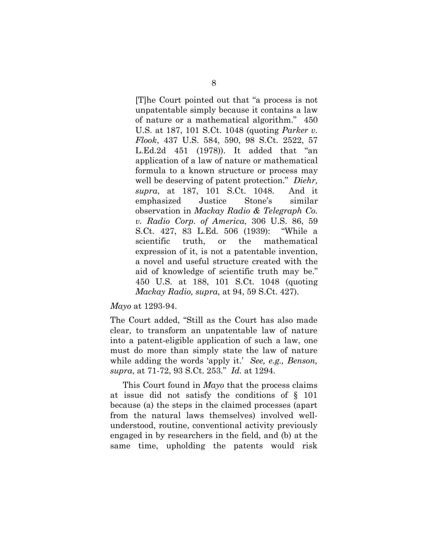[T]he Court pointed out that "a process is not unpatentable simply because it contains a law of nature or a mathematical algorithm." 450 U.S. at 187, 101 S.Ct. 1048 (quoting *Parker v. Flook*, 437 U.S. 584, 590, 98 S.Ct. 2522, 57 L.Ed.2d 451 (1978)). It added that "an application of a law of nature or mathematical formula to a known structure or process may well be deserving of patent protection." *Diehr, supra*, at 187, 101 S.Ct. 1048. And it emphasized Justice Stone's similar observation in *Mackay Radio & Telegraph Co. v. Radio Corp. of America*, 306 U.S. 86, 59 S.Ct. 427, 83 L.Ed. 506 (1939): "While a scientific truth, or the mathematical expression of it, is not a patentable invention, a novel and useful structure created with the aid of knowledge of scientific truth may be." 450 U.S. at 188, 101 S.Ct. 1048 (quoting *Mackay Radio, supra*, at 94, 59 S.Ct. 427).

#### *Mayo* at 1293-94.

The Court added, "Still as the Court has also made clear, to transform an unpatentable law of nature into a patent-eligible application of such a law, one must do more than simply state the law of nature while adding the words 'apply it.' *See, e.g., Benson, supra*, at 71-72, 93 S.Ct. 253." *Id.* at 1294.

This Court found in *Mayo* that the process claims at issue did not satisfy the conditions of § 101 because (a) the steps in the claimed processes (apart from the natural laws themselves) involved wellunderstood, routine, conventional activity previously engaged in by researchers in the field, and (b) at the same time, upholding the patents would risk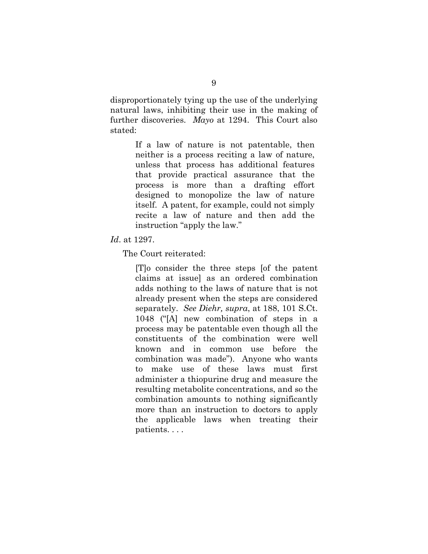disproportionately tying up the use of the underlying natural laws, inhibiting their use in the making of further discoveries. *Mayo* at 1294. This Court also stated:

> If a law of nature is not patentable, then neither is a process reciting a law of nature, unless that process has additional features that provide practical assurance that the process is more than a drafting effort designed to monopolize the law of nature itself. A patent, for example, could not simply recite a law of nature and then add the instruction "apply the law."

#### *Id*. at 1297.

The Court reiterated:

[T]o consider the three steps [of the patent claims at issue] as an ordered combination adds nothing to the laws of nature that is not already present when the steps are considered separately. *See Diehr, supra*, at 188, 101 S.Ct. 1048 ("[A] new combination of steps in a process may be patentable even though all the constituents of the combination were well known and in common use before the combination was made"). Anyone who wants to make use of these laws must first administer a thiopurine drug and measure the resulting metabolite concentrations, and so the combination amounts to nothing significantly more than an instruction to doctors to apply the applicable laws when treating their patients. . . .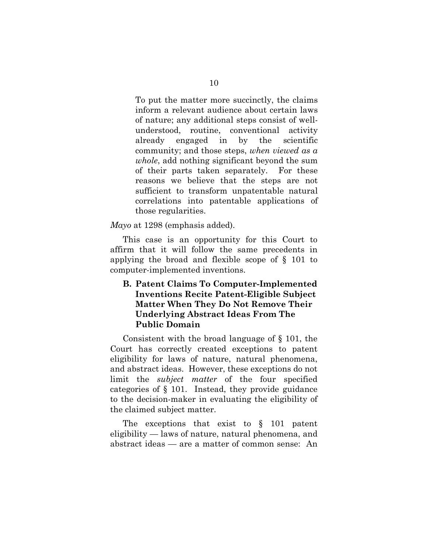To put the matter more succinctly, the claims inform a relevant audience about certain laws of nature; any additional steps consist of wellunderstood, routine, conventional activity already engaged in by the scientific community; and those steps, *when viewed as a whole*, add nothing significant beyond the sum of their parts taken separately. For these reasons we believe that the steps are not sufficient to transform unpatentable natural correlations into patentable applications of those regularities.

*Mayo* at 1298 (emphasis added).

This case is an opportunity for this Court to affirm that it will follow the same precedents in applying the broad and flexible scope of § 101 to computer-implemented inventions.

## <span id="page-14-0"></span>**B. Patent Claims To Computer-Implemented Inventions Recite Patent-Eligible Subject Matter When They Do Not Remove Their Underlying Abstract Ideas From The Public Domain**

Consistent with the broad language of § 101, the Court has correctly created exceptions to patent eligibility for laws of nature, natural phenomena, and abstract ideas. However, these exceptions do not limit the *subject matter* of the four specified categories of § 101. Instead, they provide guidance to the decision-maker in evaluating the eligibility of the claimed subject matter.

The exceptions that exist to § 101 patent eligibility — laws of nature, natural phenomena, and abstract ideas — are a matter of common sense: An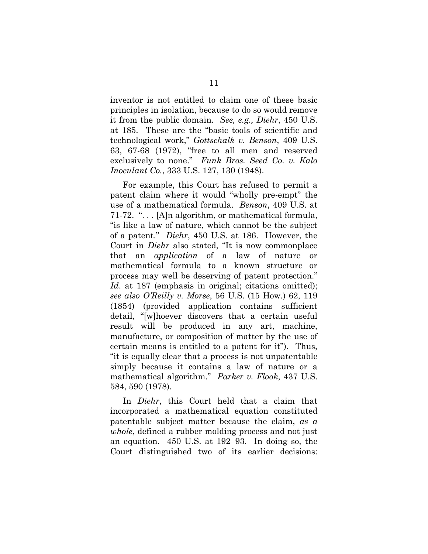inventor is not entitled to claim one of these basic principles in isolation, because to do so would remove it from the public domain. *See, e.g., Diehr*, 450 U.S. at 185. These are the "basic tools of scientific and technological work," *Gottschalk v. Benson*, 409 U.S. 63, 67-68 (1972), "free to all men and reserved exclusively to none." *Funk Bros. Seed Co. v. Kalo Inoculant Co.*, 333 U.S. 127, 130 (1948).

For example, this Court has refused to permit a patent claim where it would "wholly pre-empt" the use of a mathematical formula. *Benson*, 409 U.S. at 71-72. ". . . [A]n algorithm, or mathematical formula, "is like a law of nature, which cannot be the subject of a patent." *Diehr*, 450 U.S. at 186. However, the Court in *Diehr* also stated, "It is now commonplace that an *application* of a law of nature or mathematical formula to a known structure or process may well be deserving of patent protection." *Id*. at 187 (emphasis in original; citations omitted); *see also O'Reilly v. Morse*, 56 U.S. (15 How.) 62, 119 (1854) (provided application contains sufficient detail, "[w]hoever discovers that a certain useful result will be produced in any art, machine, manufacture, or composition of matter by the use of certain means is entitled to a patent for it"). Thus, "it is equally clear that a process is not unpatentable simply because it contains a law of nature or a mathematical algorithm." *Parker v. Flook*, 437 U.S. 584, 590 (1978).

In *Diehr*, this Court held that a claim that incorporated a mathematical equation constituted patentable subject matter because the claim, *as a whole*, defined a rubber molding process and not just an equation. 450 U.S. at 192–93. In doing so, the Court distinguished two of its earlier decisions: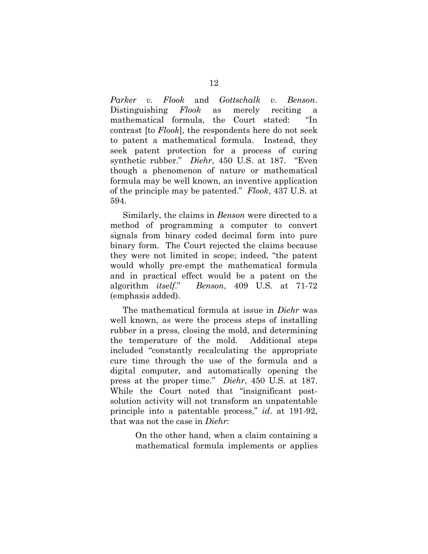*Parker v. Flook* and *Gottschalk v. Benson*. Distinguishing *Flook* as merely reciting a mathematical formula, the Court stated: "In contrast [to *Flook*], the respondents here do not seek to patent a mathematical formula. Instead, they seek patent protection for a process of curing synthetic rubber." *Diehr*, 450 U.S. at 187. "Even though a phenomenon of nature or mathematical formula may be well known, an inventive application of the principle may be patented." *Flook*, 437 U.S. at 594.

Similarly, the claims in *Benson* were directed to a method of programming a computer to convert signals from binary coded decimal form into pure binary form. The Court rejected the claims because they were not limited in scope; indeed, "the patent would wholly pre-empt the mathematical formula and in practical effect would be a patent on the algorithm *itself*." *Benson*, 409 U.S. at 71-72 (emphasis added).

The mathematical formula at issue in *Diehr* was well known, as were the process steps of installing rubber in a press, closing the mold, and determining the temperature of the mold. Additional steps included "constantly recalculating the appropriate cure time through the use of the formula and a digital computer, and automatically opening the press at the proper time." *Diehr*, 450 U.S. at 187. While the Court noted that "insignificant postsolution activity will not transform an unpatentable principle into a patentable process," *id*. at 191-92, that was not the case in *Diehr*:

> On the other hand, when a claim containing a mathematical formula implements or applies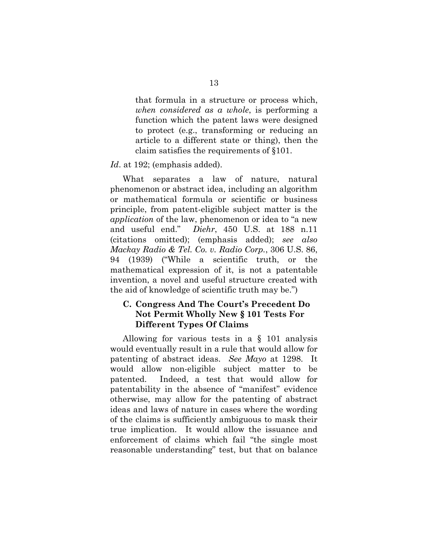that formula in a structure or process which, *when considered as a whole*, is performing a function which the patent laws were designed to protect (e.g., transforming or reducing an article to a different state or thing), then the claim satisfies the requirements of §101.

#### Id. at 192; (emphasis added).

What separates a law of nature, natural phenomenon or abstract idea, including an algorithm or mathematical formula or scientific or business principle, from patent-eligible subject matter is the *application* of the law, phenomenon or idea to "a new and useful end." *Diehr*, 450 U.S. at 188 n.11 (citations omitted); (emphasis added); *see also Mackay Radio & Tel. Co. v. Radio Corp.*, 306 U.S. 86, 94 (1939) ("While a scientific truth, or the mathematical expression of it, is not a patentable invention, a novel and useful structure created with the aid of knowledge of scientific truth may be.")

## <span id="page-17-0"></span>**C. Congress And The Court's Precedent Do Not Permit Wholly New § 101 Tests For Different Types Of Claims**

Allowing for various tests in a § 101 analysis would eventually result in a rule that would allow for patenting of abstract ideas. *See Mayo* at 1298. It would allow non-eligible subject matter to be patented. Indeed, a test that would allow for patentability in the absence of "manifest" evidence otherwise, may allow for the patenting of abstract ideas and laws of nature in cases where the wording of the claims is sufficiently ambiguous to mask their true implication. It would allow the issuance and enforcement of claims which fail "the single most reasonable understanding" test, but that on balance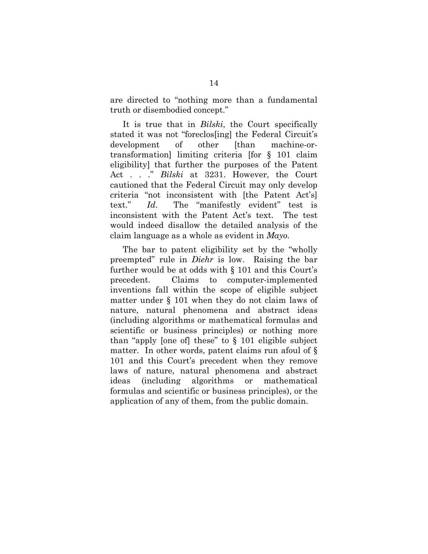are directed to "nothing more than a fundamental truth or disembodied concept."

It is true that in *Bilski*, the Court specifically stated it was not "foreclos[ing] the Federal Circuit's development of other [than machine-ortransformation] limiting criteria [for § 101 claim eligibility] that further the purposes of the Patent Act . . ." *Bilski* at 3231. However, the Court cautioned that the Federal Circuit may only develop criteria "not inconsistent with [the Patent Act's] text." *Id*. The "manifestly evident" test is inconsistent with the Patent Act's text. The test would indeed disallow the detailed analysis of the claim language as a whole as evident in *Mayo.*

The bar to patent eligibility set by the "wholly preempted" rule in *Diehr* is low. Raising the bar further would be at odds with § 101 and this Court's precedent. Claims to computer-implemented inventions fall within the scope of eligible subject matter under § 101 when they do not claim laws of nature, natural phenomena and abstract ideas (including algorithms or mathematical formulas and scientific or business principles) or nothing more than "apply [one of] these" to § 101 eligible subject matter. In other words, patent claims run afoul of  $\S$ 101 and this Court's precedent when they remove laws of nature, natural phenomena and abstract ideas (including algorithms or mathematical formulas and scientific or business principles), or the application of any of them, from the public domain.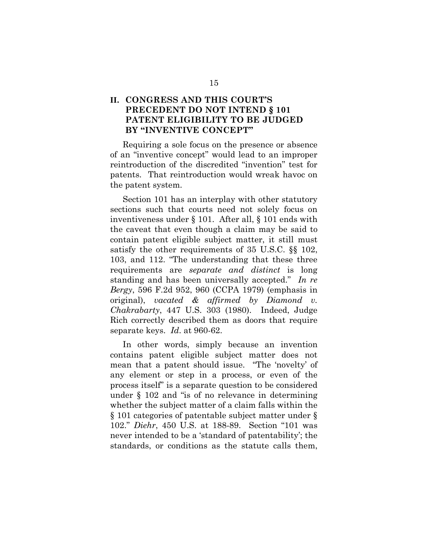## <span id="page-19-0"></span>**II. CONGRESS AND THIS COURT'S PRECEDENT DO NOT INTEND § 101 PATENT ELIGIBILITY TO BE JUDGED BY "INVENTIVE CONCEPT"**

Requiring a sole focus on the presence or absence of an "inventive concept" would lead to an improper reintroduction of the discredited "invention" test for patents. That reintroduction would wreak havoc on the patent system.

Section 101 has an interplay with other statutory sections such that courts need not solely focus on inventiveness under § 101. After all, § 101 ends with the caveat that even though a claim may be said to contain patent eligible subject matter, it still must satisfy the other requirements of 35 U.S.C. §§ 102, 103, and 112. "The understanding that these three requirements are *separate and distinct* is long standing and has been universally accepted." *In re Bergy*, 596 F.2d 952, 960 (CCPA 1979) (emphasis in original), *vacated & affirmed by Diamond v. Chakrabarty*, 447 U.S. 303 (1980). Indeed, Judge Rich correctly described them as doors that require separate keys. *Id*. at 960-62.

In other words, simply because an invention contains patent eligible subject matter does not mean that a patent should issue. "The 'novelty' of any element or step in a process, or even of the process itself" is a separate question to be considered under § 102 and "is of no relevance in determining whether the subject matter of a claim falls within the § 101 categories of patentable subject matter under § 102." *Diehr*, 450 U.S. at 188-89. Section "101 was never intended to be a 'standard of patentability'; the standards, or conditions as the statute calls them,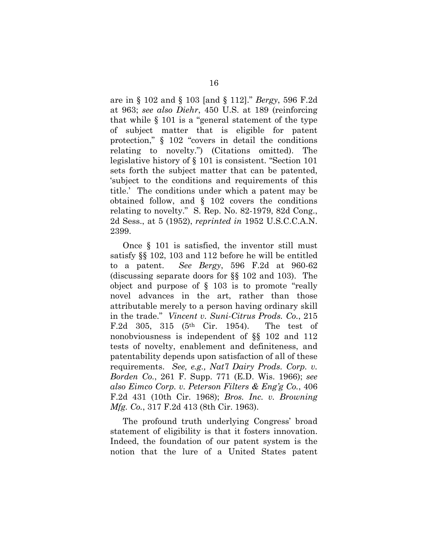are in § 102 and § 103 [and § 112]." *Bergy*, 596 F.2d at 963; *see also Diehr*, 450 U.S. at 189 (reinforcing that while § 101 is a "general statement of the type of subject matter that is eligible for patent protection," § 102 "covers in detail the conditions relating to novelty.") (Citations omitted). The legislative history of § 101 is consistent. "Section 101 sets forth the subject matter that can be patented, 'subject to the conditions and requirements of this title.' The conditions under which a patent may be obtained follow, and § 102 covers the conditions relating to novelty." S. Rep. No. 82-1979, 82d Cong., 2d Sess., at 5 (1952), *reprinted in* 1952 U.S.C.C.A.N. 2399.

Once § 101 is satisfied, the inventor still must satisfy §§ 102, 103 and 112 before he will be entitled to a patent. *See Bergy*, 596 F.2d at 960-62 (discussing separate doors for §§ 102 and 103). The object and purpose of § 103 is to promote "really novel advances in the art, rather than those attributable merely to a person having ordinary skill in the trade." *Vincent v. Suni-Citrus Prods. Co.*, 215 F.2d 305, 315 (5th Cir. 1954). The test of nonobviousness is independent of §§ 102 and 112 tests of novelty, enablement and definiteness, and patentability depends upon satisfaction of all of these requirements. *See, e.g., Nat'l Dairy Prods. Corp. v. Borden Co.*, 261 F. Supp. 771 (E.D. Wis. 1966); *see also Eimco Corp. v. Peterson Filters & Eng'g Co.*, 406 F.2d 431 (10th Cir. 1968); *Bros. Inc. v. Browning Mfg. Co.*, 317 F.2d 413 (8th Cir. 1963).

The profound truth underlying Congress' broad statement of eligibility is that it fosters innovation. Indeed, the foundation of our patent system is the notion that the lure of a United States patent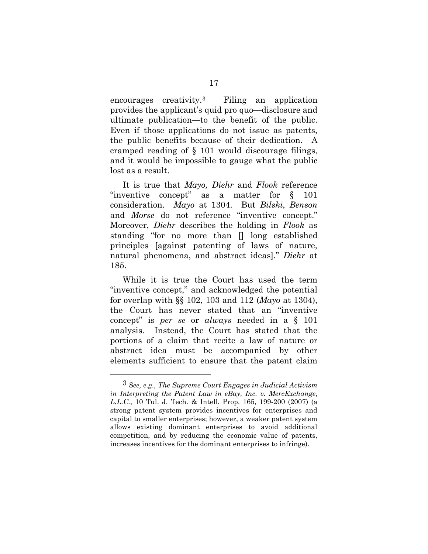encourages creativity.[3](#page-21-0) Filing an application provides the applicant's quid pro quo—disclosure and ultimate publication—to the benefit of the public. Even if those applications do not issue as patents, the public benefits because of their dedication. A cramped reading of § 101 would discourage filings, and it would be impossible to gauge what the public lost as a result.

It is true that *Mayo, Diehr* and *Flook* reference "inventive concept" as a matter for § 101 consideration. *Mayo* at 1304. But *Bilski*, *Benson* and *Morse* do not reference "inventive concept." Moreover, *Diehr* describes the holding in *Flook* as standing "for no more than [] long established principles [against patenting of laws of nature, natural phenomena, and abstract ideas]." *Diehr* at 185.

While it is true the Court has used the term "inventive concept," and acknowledged the potential for overlap with §§ 102, 103 and 112 (*Mayo* at 1304), the Court has never stated that an "inventive concept" is *per se* or *always* needed in a § 101 analysis. Instead, the Court has stated that the portions of a claim that recite a law of nature or abstract idea must be accompanied by other elements sufficient to ensure that the patent claim

 $\overline{a}$ 

<span id="page-21-0"></span><sup>3</sup> *See, e.g., The Supreme Court Engages in Judicial Activism in Interpreting the Patent Law in eBay, Inc. v. MercExchange, L.L.C.*, 10 Tul. J. Tech. & Intell. Prop. 165, 199-200 (2007) (a strong patent system provides incentives for enterprises and capital to smaller enterprises; however, a weaker patent system allows existing dominant enterprises to avoid additional competition, and by reducing the economic value of patents, increases incentives for the dominant enterprises to infringe).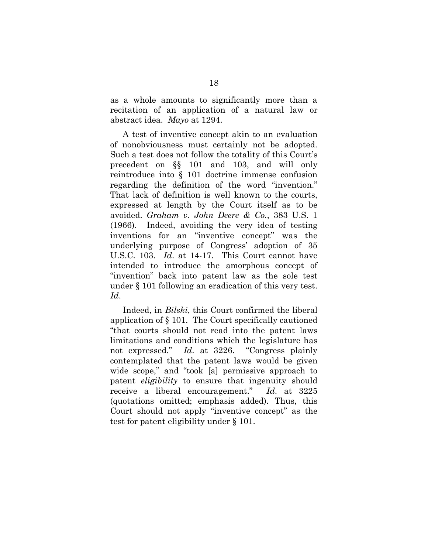as a whole amounts to significantly more than a recitation of an application of a natural law or abstract idea. *Mayo* at 1294.

A test of inventive concept akin to an evaluation of nonobviousness must certainly not be adopted. Such a test does not follow the totality of this Court's precedent on §§ 101 and 103, and will only reintroduce into § 101 doctrine immense confusion regarding the definition of the word "invention." That lack of definition is well known to the courts, expressed at length by the Court itself as to be avoided. *Graham v. John Deere & Co.*, 383 U.S. 1 (1966). Indeed, avoiding the very idea of testing inventions for an "inventive concept" was the underlying purpose of Congress' adoption of 35 U.S.C. 103. *Id*. at 14-17. This Court cannot have intended to introduce the amorphous concept of "invention" back into patent law as the sole test under § 101 following an eradication of this very test. *Id*.

Indeed, in *Bilski*, this Court confirmed the liberal application of § 101. The Court specifically cautioned "that courts should not read into the patent laws limitations and conditions which the legislature has not expressed." *Id*. at 3226. "Congress plainly contemplated that the patent laws would be given wide scope," and "took [a] permissive approach to patent *eligibility* to ensure that ingenuity should receive a liberal encouragement." *Id*. at 3225 (quotations omitted; emphasis added). Thus, this Court should not apply "inventive concept" as the test for patent eligibility under § 101.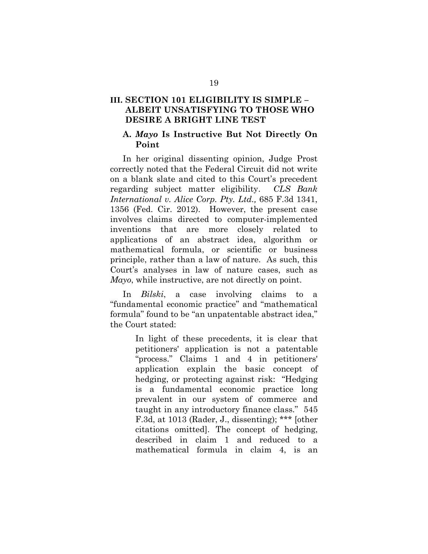## <span id="page-23-0"></span>**III. SECTION 101 ELIGIBILITY IS SIMPLE – ALBEIT UNSATISFYING TO THOSE WHO DESIRE A BRIGHT LINE TEST**

#### <span id="page-23-1"></span>**A.** *Mayo* **Is Instructive But Not Directly On Point**

In her original dissenting opinion, Judge Prost correctly noted that the Federal Circuit did not write on a blank slate and cited to this Court's precedent regarding subject matter eligibility. *CLS Bank International v. Alice Corp. Pty. Ltd.,* 685 F.3d 1341, 1356 (Fed. Cir. 2012). However, the present case involves claims directed to computer-implemented inventions that are more closely related to applications of an abstract idea, algorithm or mathematical formula, or scientific or business principle, rather than a law of nature. As such, this Court's analyses in law of nature cases, such as *Mayo*, while instructive, are not directly on point.

In *Bilski*, a case involving claims to a "fundamental economic practice" and "mathematical formula" found to be "an unpatentable abstract idea," the Court stated:

> In light of these precedents, it is clear that petitioners' application is not a patentable "process." Claims 1 and 4 in petitioners' application explain the basic concept of hedging, or protecting against risk: "Hedging is a fundamental economic practice long prevalent in our system of commerce and taught in any introductory finance class." 545 F.3d, at 1013 (Rader, J., dissenting); \*\*\* [other citations omitted]. The concept of hedging, described in claim 1 and reduced to a mathematical formula in claim 4, is an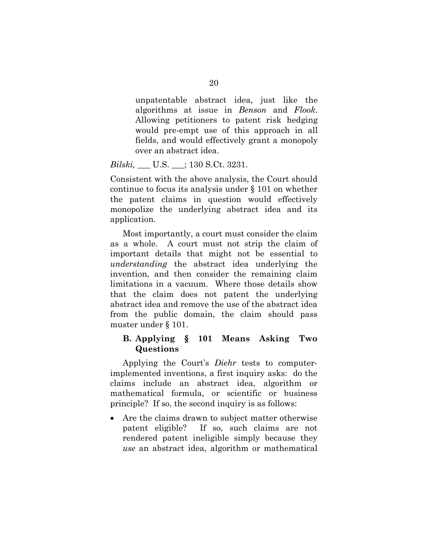unpatentable abstract idea, just like the algorithms at issue in *Benson* and *Flook*. Allowing petitioners to patent risk hedging would pre-empt use of this approach in all fields, and would effectively grant a monopoly over an abstract idea.

#### *Bilski,* \_\_\_ U.S. \_\_\_; 130 S.Ct. 3231.

Consistent with the above analysis, the Court should continue to focus its analysis under § 101 on whether the patent claims in question would effectively monopolize the underlying abstract idea and its application.

Most importantly, a court must consider the claim as a whole. A court must not strip the claim of important details that might not be essential to *understanding* the abstract idea underlying the invention, and then consider the remaining claim limitations in a vacuum. Where those details show that the claim does not patent the underlying abstract idea and remove the use of the abstract idea from the public domain, the claim should pass muster under § 101.

#### <span id="page-24-0"></span>**B. Applying § 101 Means Asking Two Questions**

Applying the Court's *Diehr* tests to computerimplemented inventions, a first inquiry asks: do the claims include an abstract idea, algorithm or mathematical formula, or scientific or business principle? If so, the second inquiry is as follows:

• Are the claims drawn to subject matter otherwise patent eligible? If so, such claims are not rendered patent ineligible simply because they *use* an abstract idea, algorithm or mathematical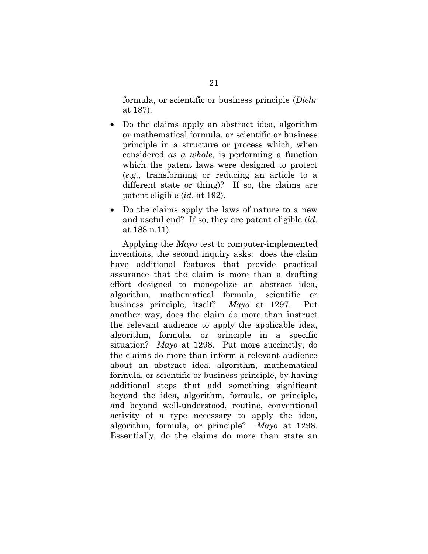formula, or scientific or business principle (*Diehr* at 187).

- Do the claims apply an abstract idea, algorithm or mathematical formula, or scientific or business principle in a structure or process which, when considered *as a whole*, is performing a function which the patent laws were designed to protect (*e.g.*, transforming or reducing an article to a different state or thing)? If so, the claims are patent eligible (*id*. at 192).
- Do the claims apply the laws of nature to a new and useful end? If so, they are patent eligible (*id*. at 188 n.11).

Applying the *Mayo* test to computer-implemented inventions, the second inquiry asks: does the claim have additional features that provide practical assurance that the claim is more than a drafting effort designed to monopolize an abstract idea, algorithm, mathematical formula, scientific or business principle, itself? *Mayo* at 1297. Put another way, does the claim do more than instruct the relevant audience to apply the applicable idea, algorithm, formula, or principle in a specific situation? *Mayo* at 1298. Put more succinctly, do the claims do more than inform a relevant audience about an abstract idea, algorithm, mathematical formula, or scientific or business principle, by having additional steps that add something significant beyond the idea, algorithm, formula, or principle, and beyond well-understood, routine, conventional activity of a type necessary to apply the idea, algorithm, formula, or principle? *Mayo* at 1298. Essentially, do the claims do more than state an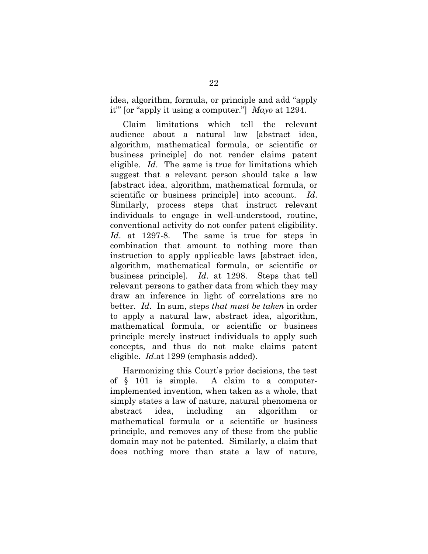idea, algorithm, formula, or principle and add "apply it"' [or "apply it using a computer."] *Mayo* at 1294.

Claim limitations which tell the relevant audience about a natural law [abstract idea, algorithm, mathematical formula, or scientific or business principle] do not render claims patent eligible. *Id*. The same is true for limitations which suggest that a relevant person should take a law [abstract idea, algorithm, mathematical formula, or scientific or business principle] into account. *Id*. Similarly, process steps that instruct relevant individuals to engage in well-understood, routine, conventional activity do not confer patent eligibility. *Id*. at 1297-8. The same is true for steps in combination that amount to nothing more than instruction to apply applicable laws [abstract idea, algorithm, mathematical formula, or scientific or business principle]. *Id*. at 1298. Steps that tell relevant persons to gather data from which they may draw an inference in light of correlations are no better. *Id*. In sum, steps *that must be taken* in order to apply a natural law, abstract idea, algorithm, mathematical formula, or scientific or business principle merely instruct individuals to apply such concepts, and thus do not make claims patent eligible. *Id*.at 1299 (emphasis added).

Harmonizing this Court's prior decisions, the test of § 101 is simple. A claim to a computerimplemented invention, when taken as a whole, that simply states a law of nature, natural phenomena or abstract idea, including an algorithm or mathematical formula or a scientific or business principle, and removes any of these from the public domain may not be patented. Similarly, a claim that does nothing more than state a law of nature,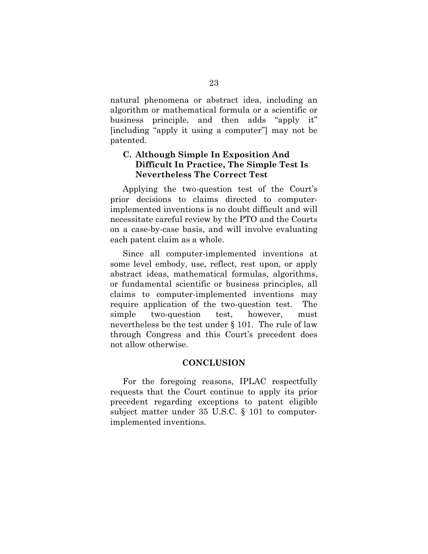natural phenomena or abstract idea, including an algorithm or mathematical formula or a scientific or business principle, and then adds "apply it" [including "apply it using a computer"] may not be patented.

## <span id="page-27-0"></span>**C. Although Simple In Exposition And Difficult In Practice, The Simple Test Is Nevertheless The Correct Test**

Applying the two-question test of the Court's prior decisions to claims directed to computerimplemented inventions is no doubt difficult and will necessitate careful review by the PTO and the Courts on a case-by-case basis, and will involve evaluating each patent claim as a whole.

Since all computer-implemented inventions at some level embody, use, reflect, rest upon, or apply abstract ideas, mathematical formulas, algorithms, or fundamental scientific or business principles, all claims to computer-implemented inventions may require application of the two-question test. The simple two-question test, however, must nevertheless be the test under § 101. The rule of law through Congress and this Court's precedent does not allow otherwise.

### **CONCLUSION**

<span id="page-27-1"></span>For the foregoing reasons, IPLAC respectfully requests that the Court continue to apply its prior precedent regarding exceptions to patent eligible subject matter under 35 U.S.C. § 101 to computerimplemented inventions.